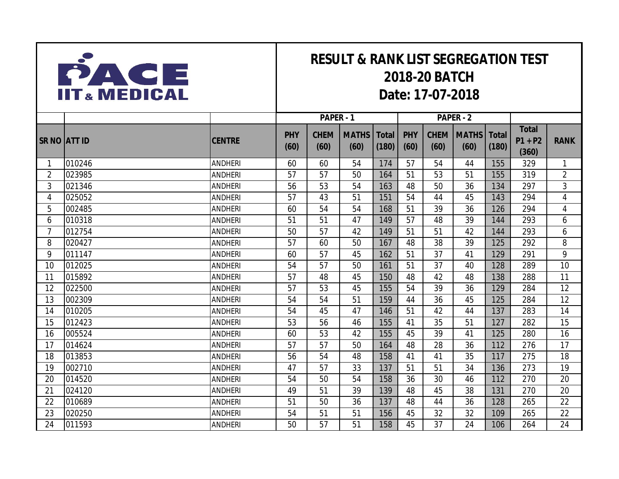

## **RESULT & RANK LIST SEGREGATION TEST 2018-20 BATCH Date: 17-07-2018**

|                     |        |                | PAPER - 1          |                     |                      |                       |                    |                     | PAPER - 2            |                       |                                    |                |
|---------------------|--------|----------------|--------------------|---------------------|----------------------|-----------------------|--------------------|---------------------|----------------------|-----------------------|------------------------------------|----------------|
| <b>SR NO ATT ID</b> |        | <b>CENTRE</b>  | <b>PHY</b><br>(60) | <b>CHEM</b><br>(60) | <b>MATHS</b><br>(60) | <b>Total</b><br>(180) | <b>PHY</b><br>(60) | <b>CHEM</b><br>(60) | <b>MATHS</b><br>(60) | <b>Total</b><br>(180) | <b>Total</b><br>$P1 + P2$<br>(360) | <b>RANK</b>    |
| 1                   | 010246 | <b>ANDHERI</b> | 60                 | 60                  | 54                   | 174                   | 57                 | 54                  | 44                   | 155                   | 329                                | $\mathbf{1}$   |
| $\overline{2}$      | 023985 | <b>ANDHERI</b> | 57                 | 57                  | 50                   | 164                   | 51                 | 53                  | 51                   | 155                   | 319                                | $\overline{2}$ |
| 3                   | 021346 | <b>ANDHERI</b> | 56                 | 53                  | 54                   | 163                   | 48                 | 50                  | 36                   | 134                   | 297                                | 3              |
| 4                   | 025052 | <b>ANDHERI</b> | 57                 | 43                  | 51                   | 151                   | 54                 | 44                  | 45                   | 143                   | 294                                | $\overline{4}$ |
| 5                   | 002485 | <b>ANDHERI</b> | 60                 | 54                  | 54                   | 168                   | 51                 | 39                  | 36                   | 126                   | 294                                | 4              |
| 6                   | 010318 | <b>ANDHERI</b> | 51                 | 51                  | 47                   | 149                   | 57                 | 48                  | 39                   | 144                   | 293                                | 6              |
| 7                   | 012754 | <b>ANDHERI</b> | 50                 | 57                  | 42                   | 149                   | 51                 | 51                  | 42                   | 144                   | 293                                | 6              |
| 8                   | 020427 | <b>ANDHERI</b> | 57                 | 60                  | 50                   | 167                   | 48                 | 38                  | 39                   | 125                   | 292                                | 8              |
| 9                   | 011147 | <b>ANDHERI</b> | 60                 | 57                  | 45                   | 162                   | 51                 | 37                  | 41                   | 129                   | 291                                | 9              |
| 10                  | 012025 | <b>ANDHERI</b> | 54                 | 57                  | 50                   | 161                   | 51                 | 37                  | 40                   | 128                   | 289                                | 10             |
| 11                  | 015892 | <b>ANDHERI</b> | 57                 | 48                  | 45                   | 150                   | 48                 | 42                  | 48                   | 138                   | 288                                | 11             |
| 12                  | 022500 | <b>ANDHERI</b> | 57                 | 53                  | 45                   | 155                   | 54                 | 39                  | 36                   | 129                   | 284                                | 12             |
| 13                  | 002309 | <b>ANDHERI</b> | 54                 | 54                  | 51                   | 159                   | 44                 | 36                  | 45                   | 125                   | 284                                | 12             |
| 14                  | 010205 | <b>ANDHERI</b> | 54                 | 45                  | 47                   | 146                   | 51                 | 42                  | 44                   | 137                   | 283                                | 14             |
| 15                  | 012423 | <b>ANDHERI</b> | 53                 | 56                  | 46                   | 155                   | 41                 | 35                  | 51                   | 127                   | 282                                | 15             |
| 16                  | 005524 | <b>ANDHERI</b> | 60                 | 53                  | 42                   | 155                   | 45                 | 39                  | 41                   | 125                   | 280                                | 16             |
| 17                  | 014624 | <b>ANDHERI</b> | 57                 | 57                  | 50                   | 164                   | 48                 | 28                  | 36                   | 112                   | 276                                | 17             |
| 18                  | 013853 | <b>ANDHERI</b> | 56                 | 54                  | 48                   | 158                   | 41                 | 41                  | 35                   | 117                   | 275                                | 18             |
| 19                  | 002710 | <b>ANDHERI</b> | 47                 | 57                  | 33                   | 137                   | 51                 | 51                  | 34                   | 136                   | 273                                | 19             |
| 20                  | 014520 | <b>ANDHERI</b> | 54                 | 50                  | 54                   | 158                   | 36                 | 30                  | 46                   | 112                   | 270                                | 20             |
| 21                  | 024120 | <b>ANDHERI</b> | 49                 | 51                  | 39                   | 139                   | 48                 | 45                  | 38                   | 131                   | 270                                | 20             |
| 22                  | 010689 | <b>ANDHERI</b> | 51                 | 50                  | 36                   | 137                   | 48                 | 44                  | 36                   | 128                   | 265                                | 22             |
| 23                  | 020250 | <b>ANDHERI</b> | 54                 | 51                  | 51                   | 156                   | 45                 | 32                  | 32                   | 109                   | 265                                | 22             |
| 24                  | 011593 | <b>ANDHERI</b> | 50                 | 57                  | 51                   | 158                   | 45                 | 37                  | 24                   | 106                   | 264                                | 24             |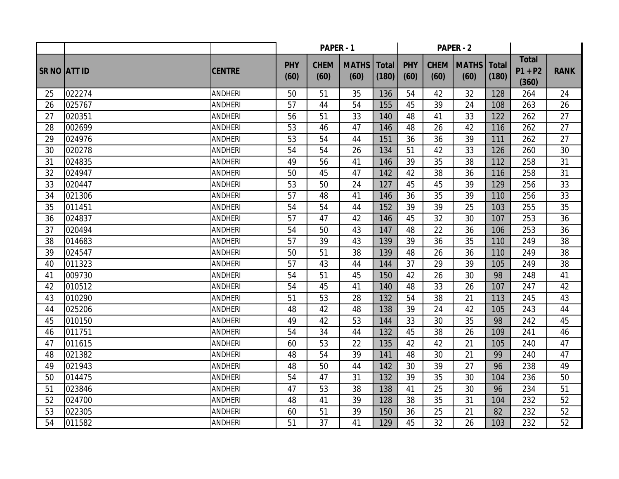|                     |        |                | PAPER - 1          |                     |                      |                       |                    |                     | <b>PAPER - 2</b>     |                       |                                    |             |
|---------------------|--------|----------------|--------------------|---------------------|----------------------|-----------------------|--------------------|---------------------|----------------------|-----------------------|------------------------------------|-------------|
| <b>SR NO ATT ID</b> |        | <b>CENTRE</b>  | <b>PHY</b><br>(60) | <b>CHEM</b><br>(60) | <b>MATHS</b><br>(60) | <b>Total</b><br>(180) | <b>PHY</b><br>(60) | <b>CHEM</b><br>(60) | <b>MATHS</b><br>(60) | <b>Total</b><br>(180) | <b>Total</b><br>$P1 + P2$<br>(360) | <b>RANK</b> |
| 25                  | 022274 | <b>ANDHERI</b> | 50                 | 51                  | 35                   | 136                   | 54                 | 42                  | 32                   | 128                   | 264                                | 24          |
| 26                  | 025767 | <b>ANDHERI</b> | 57                 | 44                  | 54                   | 155                   | 45                 | 39                  | 24                   | 108                   | 263                                | 26          |
| 27                  | 020351 | <b>ANDHERI</b> | 56                 | 51                  | 33                   | 140                   | 48                 | 41                  | 33                   | 122                   | 262                                | 27          |
| 28                  | 002699 | <b>ANDHERI</b> | 53                 | 46                  | 47                   | 146                   | 48                 | 26                  | 42                   | 116                   | 262                                | 27          |
| 29                  | 024976 | <b>ANDHERI</b> | 53                 | 54                  | 44                   | 151                   | 36                 | 36                  | 39                   | 111                   | 262                                | 27          |
| 30                  | 020278 | <b>ANDHERI</b> | 54                 | 54                  | 26                   | 134                   | 51                 | 42                  | 33                   | 126                   | 260                                | 30          |
| 31                  | 024835 | <b>ANDHERI</b> | 49                 | 56                  | 41                   | 146                   | 39                 | 35                  | 38                   | 112                   | 258                                | 31          |
| 32                  | 024947 | <b>ANDHERI</b> | 50                 | 45                  | 47                   | 142                   | 42                 | 38                  | 36                   | 116                   | 258                                | 31          |
| 33                  | 020447 | <b>ANDHERI</b> | 53                 | 50                  | 24                   | 127                   | 45                 | 45                  | 39                   | 129                   | 256                                | 33          |
| 34                  | 021306 | <b>ANDHERI</b> | 57                 | 48                  | 41                   | 146                   | 36                 | 35                  | 39                   | 110                   | 256                                | 33          |
| 35                  | 011451 | <b>ANDHERI</b> | 54                 | 54                  | 44                   | 152                   | 39                 | 39                  | 25                   | 103                   | 255                                | 35          |
| 36                  | 024837 | <b>ANDHERI</b> | 57                 | 47                  | 42                   | 146                   | 45                 | 32                  | 30                   | 107                   | 253                                | 36          |
| 37                  | 020494 | <b>ANDHERI</b> | 54                 | 50                  | 43                   | 147                   | 48                 | 22                  | 36                   | 106                   | 253                                | 36          |
| 38                  | 014683 | <b>ANDHERI</b> | 57                 | 39                  | 43                   | 139                   | 39                 | 36                  | 35                   | 110                   | 249                                | 38          |
| 39                  | 024547 | <b>ANDHERI</b> | 50                 | 51                  | 38                   | 139                   | 48                 | 26                  | 36                   | 110                   | 249                                | 38          |
| 40                  | 011323 | <b>ANDHERI</b> | 57                 | 43                  | 44                   | 144                   | 37                 | 29                  | 39                   | 105                   | 249                                | 38          |
| 41                  | 009730 | <b>ANDHERI</b> | 54                 | 51                  | 45                   | 150                   | 42                 | 26                  | 30                   | 98                    | 248                                | 41          |
| 42                  | 010512 | <b>ANDHERI</b> | 54                 | 45                  | 41                   | 140                   | 48                 | 33                  | 26                   | 107                   | 247                                | 42          |
| 43                  | 010290 | <b>ANDHERI</b> | 51                 | 53                  | 28                   | 132                   | 54                 | 38                  | 21                   | 113                   | 245                                | 43          |
| 44                  | 025206 | <b>ANDHERI</b> | 48                 | 42                  | 48                   | 138                   | 39                 | 24                  | 42                   | 105                   | 243                                | 44          |
| 45                  | 010150 | <b>ANDHERI</b> | 49                 | 42                  | 53                   | 144                   | 33                 | 30                  | 35                   | 98                    | 242                                | 45          |
| 46                  | 011751 | <b>ANDHERI</b> | 54                 | 34                  | 44                   | 132                   | 45                 | 38                  | 26                   | 109                   | 241                                | 46          |
| 47                  | 011615 | <b>ANDHERI</b> | 60                 | 53                  | 22                   | 135                   | 42                 | 42                  | 21                   | 105                   | 240                                | 47          |
| 48                  | 021382 | <b>ANDHERI</b> | 48                 | 54                  | 39                   | 141                   | 48                 | 30                  | 21                   | 99                    | 240                                | 47          |
| 49                  | 021943 | <b>ANDHERI</b> | 48                 | 50                  | 44                   | 142                   | 30                 | 39                  | 27                   | 96                    | 238                                | 49          |
| 50                  | 014475 | <b>ANDHERI</b> | 54                 | 47                  | 31                   | 132                   | 39                 | 35                  | 30                   | 104                   | 236                                | 50          |
| 51                  | 023846 | <b>ANDHERI</b> | 47                 | 53                  | 38                   | 138                   | 41                 | 25                  | 30                   | 96                    | 234                                | 51          |
| 52                  | 024700 | <b>ANDHERI</b> | 48                 | 41                  | 39                   | 128                   | 38                 | 35                  | 31                   | 104                   | 232                                | 52          |
| 53                  | 022305 | <b>ANDHERI</b> | 60                 | 51                  | 39                   | 150                   | 36                 | 25                  | 21                   | 82                    | 232                                | 52          |
| 54                  | 011582 | <b>ANDHERI</b> | 51                 | 37                  | 41                   | 129                   | 45                 | 32                  | 26                   | 103                   | 232                                | 52          |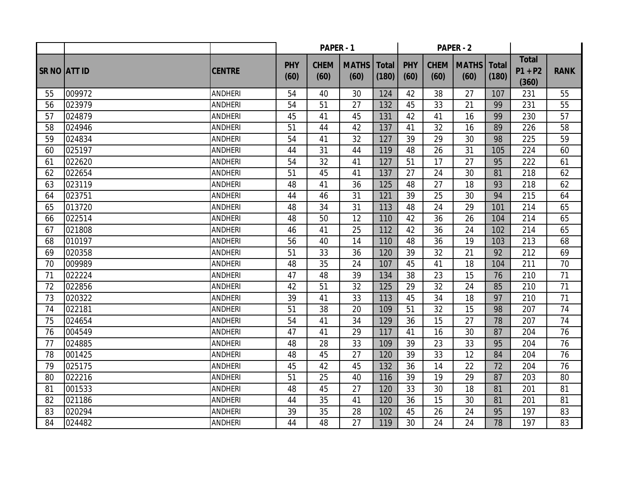|                     |        |                | PAPER - 1          |                     |                      |                       |                    |                     | <b>PAPER - 2</b>     |                       |                                    |             |
|---------------------|--------|----------------|--------------------|---------------------|----------------------|-----------------------|--------------------|---------------------|----------------------|-----------------------|------------------------------------|-------------|
| <b>SR NO ATT ID</b> |        | <b>CENTRE</b>  | <b>PHY</b><br>(60) | <b>CHEM</b><br>(60) | <b>MATHS</b><br>(60) | <b>Total</b><br>(180) | <b>PHY</b><br>(60) | <b>CHEM</b><br>(60) | <b>MATHS</b><br>(60) | <b>Total</b><br>(180) | <b>Total</b><br>$P1 + P2$<br>(360) | <b>RANK</b> |
| 55                  | 009972 | <b>ANDHERI</b> | 54                 | 40                  | 30                   | 124                   | 42                 | 38                  | 27                   | 107                   | 231                                | 55          |
| 56                  | 023979 | <b>ANDHERI</b> | 54                 | 51                  | 27                   | 132                   | 45                 | 33                  | 21                   | 99                    | 231                                | 55          |
| 57                  | 024879 | <b>ANDHERI</b> | 45                 | 41                  | 45                   | 131                   | 42                 | 41                  | 16                   | 99                    | 230                                | 57          |
| 58                  | 024946 | <b>ANDHERI</b> | 51                 | 44                  | 42                   | 137                   | 41                 | 32                  | 16                   | 89                    | 226                                | 58          |
| 59                  | 024834 | <b>ANDHERI</b> | 54                 | 41                  | 32                   | 127                   | 39                 | 29                  | 30                   | 98                    | 225                                | 59          |
| 60                  | 025197 | <b>ANDHERI</b> | 44                 | 31                  | 44                   | 119                   | 48                 | 26                  | 31                   | 105                   | 224                                | 60          |
| 61                  | 022620 | <b>ANDHERI</b> | 54                 | 32                  | 41                   | 127                   | 51                 | 17                  | 27                   | 95                    | 222                                | 61          |
| 62                  | 022654 | <b>ANDHERI</b> | 51                 | 45                  | 41                   | 137                   | 27                 | 24                  | 30                   | 81                    | 218                                | 62          |
| 63                  | 023119 | <b>ANDHERI</b> | 48                 | 41                  | 36                   | 125                   | 48                 | 27                  | 18                   | 93                    | 218                                | 62          |
| 64                  | 023751 | <b>ANDHERI</b> | 44                 | 46                  | 31                   | 121                   | 39                 | 25                  | 30                   | 94                    | 215                                | 64          |
| 65                  | 013720 | <b>ANDHERI</b> | 48                 | 34                  | 31                   | 113                   | 48                 | 24                  | 29                   | 101                   | 214                                | 65          |
| 66                  | 022514 | <b>ANDHERI</b> | 48                 | 50                  | 12                   | 110                   | 42                 | 36                  | 26                   | 104                   | 214                                | 65          |
| 67                  | 021808 | <b>ANDHERI</b> | 46                 | 41                  | 25                   | 112                   | 42                 | 36                  | 24                   | 102                   | 214                                | 65          |
| 68                  | 010197 | <b>ANDHERI</b> | 56                 | 40                  | 14                   | 110                   | 48                 | 36                  | 19                   | 103                   | 213                                | 68          |
| 69                  | 020358 | <b>ANDHERI</b> | 51                 | 33                  | 36                   | 120                   | 39                 | 32                  | 21                   | 92                    | 212                                | 69          |
| 70                  | 009989 | <b>ANDHERI</b> | 48                 | 35                  | 24                   | 107                   | 45                 | 41                  | 18                   | 104                   | 211                                | 70          |
| 71                  | 022224 | <b>ANDHERI</b> | 47                 | 48                  | 39                   | 134                   | 38                 | 23                  | 15                   | 76                    | 210                                | 71          |
| 72                  | 022856 | <b>ANDHERI</b> | 42                 | 51                  | 32                   | 125                   | 29                 | 32                  | 24                   | 85                    | 210                                | 71          |
| 73                  | 020322 | <b>ANDHERI</b> | 39                 | 41                  | 33                   | 113                   | 45                 | 34                  | 18                   | 97                    | 210                                | 71          |
| 74                  | 022181 | <b>ANDHERI</b> | 51                 | 38                  | 20                   | 109                   | 51                 | 32                  | 15                   | 98                    | 207                                | 74          |
| 75                  | 024654 | <b>ANDHERI</b> | 54                 | 41                  | 34                   | 129                   | 36                 | 15                  | 27                   | 78                    | 207                                | 74          |
| 76                  | 004549 | <b>ANDHERI</b> | 47                 | 41                  | 29                   | 117                   | 41                 | 16                  | 30                   | 87                    | 204                                | 76          |
| 77                  | 024885 | <b>ANDHERI</b> | 48                 | 28                  | 33                   | 109                   | 39                 | 23                  | 33                   | 95                    | 204                                | 76          |
| 78                  | 001425 | <b>ANDHERI</b> | 48                 | 45                  | 27                   | 120                   | 39                 | 33                  | 12                   | 84                    | 204                                | 76          |
| 79                  | 025175 | <b>ANDHERI</b> | 45                 | 42                  | 45                   | 132                   | 36                 | 14                  | 22                   | 72                    | 204                                | 76          |
| 80                  | 022216 | <b>ANDHERI</b> | 51                 | 25                  | 40                   | 116                   | 39                 | 19                  | 29                   | 87                    | 203                                | 80          |
| 81                  | 001533 | <b>ANDHERI</b> | 48                 | 45                  | 27                   | 120                   | 33                 | 30                  | 18                   | 81                    | 201                                | 81          |
| 82                  | 021186 | <b>ANDHERI</b> | 44                 | 35                  | 41                   | 120                   | 36                 | 15                  | 30                   | 81                    | 201                                | 81          |
| 83                  | 020294 | <b>ANDHERI</b> | 39                 | 35                  | 28                   | 102                   | 45                 | 26                  | 24                   | 95                    | 197                                | 83          |
| 84                  | 024482 | <b>ANDHERI</b> | 44                 | 48                  | 27                   | 119                   | 30                 | 24                  | 24                   | 78                    | 197                                | 83          |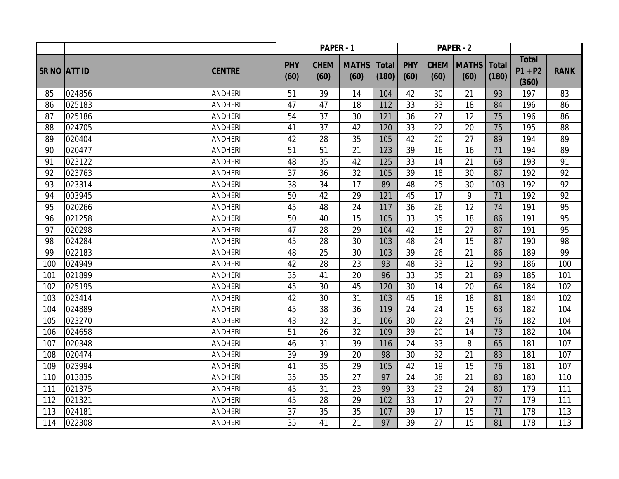|                     |        |                | PAPER - 1          |                     |                      |                       |                    |                     | <b>PAPER - 2</b>     |                       |                                    |             |
|---------------------|--------|----------------|--------------------|---------------------|----------------------|-----------------------|--------------------|---------------------|----------------------|-----------------------|------------------------------------|-------------|
| <b>SR NO ATT ID</b> |        | <b>CENTRE</b>  | <b>PHY</b><br>(60) | <b>CHEM</b><br>(60) | <b>MATHS</b><br>(60) | <b>Total</b><br>(180) | <b>PHY</b><br>(60) | <b>CHEM</b><br>(60) | <b>MATHS</b><br>(60) | <b>Total</b><br>(180) | <b>Total</b><br>$P1 + P2$<br>(360) | <b>RANK</b> |
| 85                  | 024856 | <b>ANDHERI</b> | 51                 | 39                  | 14                   | 104                   | 42                 | 30                  | 21                   | 93                    | 197                                | 83          |
| 86                  | 025183 | <b>ANDHERI</b> | 47                 | 47                  | 18                   | 112                   | 33                 | 33                  | 18                   | 84                    | 196                                | 86          |
| 87                  | 025186 | <b>ANDHERI</b> | 54                 | 37                  | 30                   | 121                   | 36                 | 27                  | 12                   | 75                    | 196                                | 86          |
| 88                  | 024705 | <b>ANDHERI</b> | 41                 | 37                  | 42                   | 120                   | 33                 | 22                  | 20                   | 75                    | 195                                | 88          |
| 89                  | 020404 | <b>ANDHERI</b> | 42                 | 28                  | 35                   | 105                   | 42                 | 20                  | $\overline{27}$      | 89                    | 194                                | 89          |
| 90                  | 020477 | <b>ANDHERI</b> | 51                 | 51                  | 21                   | 123                   | 39                 | 16                  | 16                   | 71                    | 194                                | 89          |
| 91                  | 023122 | <b>ANDHERI</b> | 48                 | 35                  | 42                   | 125                   | 33                 | 14                  | 21                   | 68                    | 193                                | 91          |
| 92                  | 023763 | <b>ANDHERI</b> | 37                 | 36                  | 32                   | 105                   | 39                 | 18                  | 30                   | 87                    | 192                                | 92          |
| 93                  | 023314 | <b>ANDHERI</b> | 38                 | 34                  | 17                   | 89                    | 48                 | 25                  | 30                   | 103                   | 192                                | 92          |
| 94                  | 003945 | <b>ANDHERI</b> | 50                 | 42                  | 29                   | 121                   | 45                 | 17                  | 9                    | 71                    | 192                                | 92          |
| 95                  | 020266 | <b>ANDHERI</b> | 45                 | 48                  | 24                   | 117                   | 36                 | 26                  | 12                   | 74                    | 191                                | 95          |
| 96                  | 021258 | <b>ANDHERI</b> | 50                 | 40                  | 15                   | 105                   | 33                 | 35                  | 18                   | 86                    | 191                                | 95          |
| 97                  | 020298 | <b>ANDHERI</b> | 47                 | 28                  | 29                   | 104                   | 42                 | 18                  | 27                   | 87                    | 191                                | 95          |
| 98                  | 024284 | <b>ANDHERI</b> | 45                 | 28                  | 30                   | 103                   | 48                 | 24                  | 15                   | 87                    | 190                                | 98          |
| 99                  | 022183 | <b>ANDHERI</b> | 48                 | 25                  | 30                   | 103                   | 39                 | 26                  | 21                   | 86                    | 189                                | 99          |
| 100                 | 024949 | <b>ANDHERI</b> | 42                 | 28                  | 23                   | 93                    | 48                 | 33                  | 12                   | 93                    | 186                                | 100         |
| 101                 | 021899 | <b>ANDHERI</b> | 35                 | 41                  | 20                   | 96                    | 33                 | 35                  | 21                   | 89                    | 185                                | 101         |
| 102                 | 025195 | <b>ANDHERI</b> | 45                 | 30                  | 45                   | 120                   | 30                 | 14                  | 20                   | 64                    | 184                                | 102         |
| 103                 | 023414 | <b>ANDHERI</b> | 42                 | 30                  | 31                   | 103                   | 45                 | 18                  | 18                   | 81                    | 184                                | 102         |
| 104                 | 024889 | <b>ANDHERI</b> | 45                 | 38                  | 36                   | 119                   | 24                 | 24                  | 15                   | 63                    | 182                                | 104         |
| 105                 | 023270 | <b>ANDHERI</b> | 43                 | 32                  | 31                   | 106                   | 30                 | 22                  | 24                   | 76                    | 182                                | 104         |
| 106                 | 024658 | <b>ANDHERI</b> | 51                 | 26                  | 32                   | 109                   | 39                 | 20                  | 14                   | 73                    | 182                                | 104         |
| 107                 | 020348 | <b>ANDHERI</b> | 46                 | 31                  | 39                   | 116                   | 24                 | 33                  | 8                    | 65                    | 181                                | 107         |
| 108                 | 020474 | <b>ANDHERI</b> | 39                 | 39                  | 20                   | 98                    | 30                 | 32                  | 21                   | 83                    | 181                                | 107         |
| 109                 | 023994 | <b>ANDHERI</b> | 41                 | 35                  | 29                   | 105                   | 42                 | 19                  | 15                   | 76                    | 181                                | 107         |
| 110                 | 013835 | <b>ANDHERI</b> | 35                 | 35                  | 27                   | 97                    | 24                 | 38                  | 21                   | 83                    | 180                                | 110         |
| 111                 | 021375 | <b>ANDHERI</b> | 45                 | $\overline{31}$     | 23                   | 99                    | 33                 | 23                  | 24                   | 80                    | 179                                | 111         |
| 112                 | 021321 | <b>ANDHERI</b> | 45                 | 28                  | 29                   | 102                   | 33                 | 17                  | 27                   | 77                    | 179                                | 111         |
| 113                 | 024181 | <b>ANDHERI</b> | 37                 | 35                  | 35                   | 107                   | 39                 | 17                  | 15                   | 71                    | 178                                | 113         |
| 114                 | 022308 | <b>ANDHERI</b> | 35                 | 41                  | 21                   | 97                    | 39                 | 27                  | 15                   | 81                    | 178                                | 113         |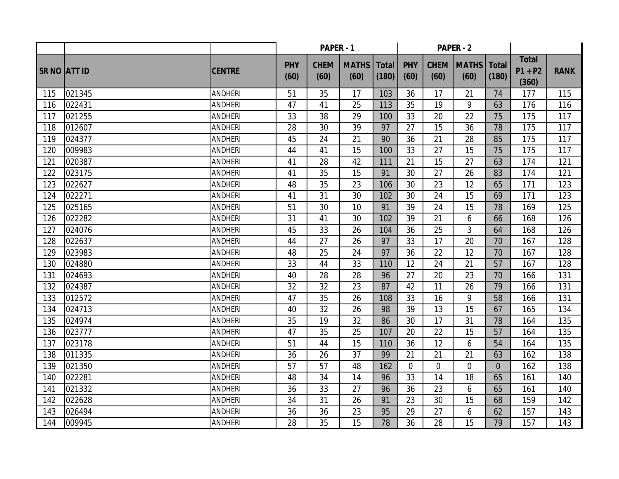|                     |        |                | PAPER - 1          |                     |                      |                       |                    |                     | <b>PAPER - 2</b>     |                       |                                    |             |
|---------------------|--------|----------------|--------------------|---------------------|----------------------|-----------------------|--------------------|---------------------|----------------------|-----------------------|------------------------------------|-------------|
| <b>SR NO ATT ID</b> |        | <b>CENTRE</b>  | <b>PHY</b><br>(60) | <b>CHEM</b><br>(60) | <b>MATHS</b><br>(60) | <b>Total</b><br>(180) | <b>PHY</b><br>(60) | <b>CHEM</b><br>(60) | <b>MATHS</b><br>(60) | <b>Total</b><br>(180) | <b>Total</b><br>$P1 + P2$<br>(360) | <b>RANK</b> |
| 115                 | 021345 | <b>ANDHERI</b> | 51                 | 35                  | 17                   | 103                   | 36                 | 17                  | 21                   | 74                    | 177                                | 115         |
| 116                 | 022431 | <b>ANDHERI</b> | 47                 | 41                  | 25                   | 113                   | 35                 | 19                  | 9                    | 63                    | 176                                | 116         |
| 117                 | 021255 | <b>ANDHERI</b> | 33                 | 38                  | 29                   | 100                   | 33                 | 20                  | 22                   | 75                    | 175                                | 117         |
| 118                 | 012607 | <b>ANDHERI</b> | 28                 | 30                  | 39                   | 97                    | 27                 | 15                  | 36                   | 78                    | 175                                | 117         |
| 119                 | 024377 | <b>ANDHERI</b> | 45                 | 24                  | $\overline{21}$      | 90                    | 36                 | 21                  | 28                   | 85                    | 175                                | 117         |
| 120                 | 009983 | <b>ANDHERI</b> | 44                 | 41                  | 15                   | 100                   | 33                 | 27                  | 15                   | 75                    | 175                                | 117         |
| 121                 | 020387 | <b>ANDHERI</b> | 41                 | 28                  | 42                   | 111                   | 21                 | 15                  | 27                   | 63                    | 174                                | 121         |
| 122                 | 023175 | <b>ANDHERI</b> | 41                 | 35                  | 15                   | 91                    | 30                 | 27                  | 26                   | 83                    | 174                                | 121         |
| 123                 | 022627 | <b>ANDHERI</b> | 48                 | 35                  | 23                   | 106                   | 30                 | 23                  | 12                   | 65                    | 171                                | 123         |
| 124                 | 022271 | <b>ANDHERI</b> | 41                 | 31                  | 30                   | 102                   | 30                 | 24                  | 15                   | 69                    | 171                                | 123         |
| 125                 | 025165 | <b>ANDHERI</b> | 51                 | 30                  | 10                   | 91                    | 39                 | 24                  | 15                   | 78                    | 169                                | 125         |
| 126                 | 022282 | <b>ANDHERI</b> | 31                 | 41                  | 30                   | 102                   | 39                 | 21                  | 6                    | 66                    | 168                                | 126         |
| 127                 | 024076 | <b>ANDHERI</b> | 45                 | 33                  | 26                   | 104                   | 36                 | 25                  | 3                    | 64                    | 168                                | 126         |
| 128                 | 022637 | <b>ANDHERI</b> | 44                 | 27                  | 26                   | 97                    | 33                 | 17                  | 20                   | 70                    | 167                                | 128         |
| 129                 | 023983 | <b>ANDHERI</b> | 48                 | 25                  | 24                   | 97                    | 36                 | 22                  | 12                   | 70                    | 167                                | 128         |
| 130                 | 024880 | <b>ANDHERI</b> | 33                 | 44                  | 33                   | 110                   | 12                 | 24                  | 21                   | 57                    | 167                                | 128         |
| 131                 | 024693 | <b>ANDHERI</b> | 40                 | 28                  | 28                   | 96                    | 27                 | 20                  | 23                   | 70                    | 166                                | 131         |
| 132                 | 024387 | <b>ANDHERI</b> | 32                 | 32                  | 23                   | 87                    | 42                 | 11                  | 26                   | 79                    | 166                                | 131         |
| 133                 | 012572 | <b>ANDHERI</b> | 47                 | 35                  | 26                   | 108                   | 33                 | 16                  | 9                    | 58                    | 166                                | 131         |
| 134                 | 024713 | <b>ANDHERI</b> | 40                 | 32                  | 26                   | 98                    | 39                 | 13                  | 15                   | 67                    | 165                                | 134         |
| 135                 | 024974 | <b>ANDHERI</b> | 35                 | 19                  | 32                   | 86                    | 30                 | 17                  | 31                   | 78                    | 164                                | 135         |
| 136                 | 023777 | <b>ANDHERI</b> | 47                 | 35                  | 25                   | 107                   | 20                 | 22                  | 15                   | 57                    | 164                                | 135         |
| 137                 | 023178 | <b>ANDHERI</b> | 51                 | 44                  | 15                   | 110                   | 36                 | 12                  | 6                    | 54                    | 164                                | 135         |
| 138                 | 011335 | <b>ANDHERI</b> | 36                 | 26                  | 37                   | 99                    | 21                 | 21                  | 21                   | 63                    | 162                                | 138         |
| 139                 | 021350 | <b>ANDHERI</b> | 57                 | 57                  | 48                   | 162                   | $\overline{0}$     | $\overline{0}$      | $\overline{0}$       | $\overline{0}$        | 162                                | 138         |
| 140                 | 022281 | <b>ANDHERI</b> | 48                 | 34                  | 14                   | 96                    | 33                 | 14                  | 18                   | 65                    | 161                                | 140         |
| 141                 | 021332 | <b>ANDHERI</b> | 36                 | $\overline{33}$     | 27                   | 96                    | 36                 | 23                  | 6                    | 65                    | 161                                | 140         |
| 142                 | 022628 | <b>ANDHERI</b> | 34                 | 31                  | 26                   | 91                    | 23                 | 30                  | 15                   | 68                    | 159                                | 142         |
| 143                 | 026494 | <b>ANDHERI</b> | 36                 | 36                  | 23                   | 95                    | 29                 | 27                  | 6                    | 62                    | 157                                | 143         |
| 144                 | 009945 | <b>ANDHERI</b> | 28                 | 35                  | 15                   | 78                    | 36                 | 28                  | 15                   | 79                    | 157                                | 143         |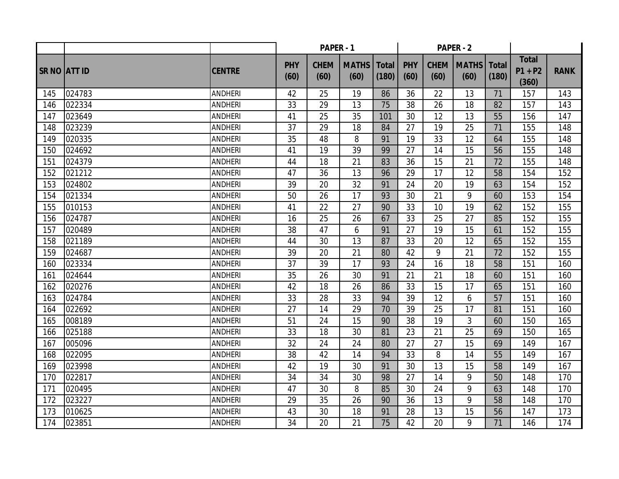|                     |        |                | PAPER - 1          |                     |                      |                       |                    |                     | <b>PAPER - 2</b>     |                       |                                    |             |
|---------------------|--------|----------------|--------------------|---------------------|----------------------|-----------------------|--------------------|---------------------|----------------------|-----------------------|------------------------------------|-------------|
| <b>SR NO ATT ID</b> |        | <b>CENTRE</b>  | <b>PHY</b><br>(60) | <b>CHEM</b><br>(60) | <b>MATHS</b><br>(60) | <b>Total</b><br>(180) | <b>PHY</b><br>(60) | <b>CHEM</b><br>(60) | <b>MATHS</b><br>(60) | <b>Total</b><br>(180) | <b>Total</b><br>$P1 + P2$<br>(360) | <b>RANK</b> |
| 145                 | 024783 | <b>ANDHERI</b> | 42                 | 25                  | 19                   | 86                    | 36                 | 22                  | 13                   | 71                    | 157                                | 143         |
| 146                 | 022334 | <b>ANDHERI</b> | 33                 | 29                  | 13                   | 75                    | 38                 | 26                  | 18                   | 82                    | 157                                | 143         |
| 147                 | 023649 | <b>ANDHERI</b> | 41                 | 25                  | 35                   | 101                   | 30                 | 12                  | 13                   | 55                    | 156                                | 147         |
| 148                 | 023239 | <b>ANDHERI</b> | 37                 | 29                  | 18                   | 84                    | 27                 | 19                  | 25                   | 71                    | 155                                | 148         |
| 149                 | 020335 | <b>ANDHERI</b> | 35                 | 48                  | 8                    | 91                    | 19                 | 33                  | $\overline{12}$      | 64                    | 155                                | 148         |
| 150                 | 024692 | <b>ANDHERI</b> | 41                 | 19                  | 39                   | 99                    | 27                 | 14                  | 15                   | 56                    | 155                                | 148         |
| 151                 | 024379 | <b>ANDHERI</b> | 44                 | 18                  | 21                   | 83                    | 36                 | 15                  | 21                   | 72                    | 155                                | 148         |
| 152                 | 021212 | <b>ANDHERI</b> | 47                 | 36                  | 13                   | 96                    | 29                 | 17                  | 12                   | 58                    | 154                                | 152         |
| 153                 | 024802 | <b>ANDHERI</b> | 39                 | 20                  | 32                   | 91                    | 24                 | 20                  | 19                   | 63                    | 154                                | 152         |
| 154                 | 021334 | <b>ANDHERI</b> | 50                 | 26                  | 17                   | 93                    | 30                 | 21                  | 9                    | 60                    | 153                                | 154         |
| 155                 | 010153 | <b>ANDHERI</b> | 41                 | 22                  | 27                   | 90                    | 33                 | 10                  | 19                   | 62                    | 152                                | 155         |
| 156                 | 024787 | <b>ANDHERI</b> | 16                 | 25                  | 26                   | 67                    | 33                 | 25                  | 27                   | 85                    | 152                                | 155         |
| 157                 | 020489 | <b>ANDHERI</b> | 38                 | 47                  | 6                    | 91                    | 27                 | 19                  | 15                   | 61                    | 152                                | 155         |
| 158                 | 021189 | <b>ANDHERI</b> | 44                 | 30                  | 13                   | 87                    | 33                 | 20                  | 12                   | 65                    | 152                                | 155         |
| 159                 | 024687 | <b>ANDHERI</b> | 39                 | 20                  | 21                   | 80                    | 42                 | 9                   | 21                   | 72                    | 152                                | 155         |
| 160                 | 023334 | <b>ANDHERI</b> | 37                 | 39                  | 17                   | 93                    | 24                 | 16                  | 18                   | 58                    | 151                                | 160         |
| 161                 | 024644 | <b>ANDHERI</b> | 35                 | 26                  | 30                   | 91                    | 21                 | 21                  | 18                   | 60                    | 151                                | 160         |
| 162                 | 020276 | <b>ANDHERI</b> | 42                 | 18                  | 26                   | 86                    | 33                 | 15                  | 17                   | 65                    | 151                                | 160         |
| 163                 | 024784 | <b>ANDHERI</b> | 33                 | 28                  | 33                   | 94                    | 39                 | 12                  | 6                    | 57                    | 151                                | 160         |
| 164                 | 022692 | <b>ANDHERI</b> | 27                 | 14                  | 29                   | 70                    | 39                 | 25                  | 17                   | 81                    | 151                                | 160         |
| 165                 | 008189 | <b>ANDHERI</b> | 51                 | 24                  | 15                   | 90                    | 38                 | 19                  | 3                    | 60                    | 150                                | 165         |
| 166                 | 025188 | <b>ANDHERI</b> | 33                 | 18                  | 30                   | 81                    | 23                 | 21                  | 25                   | 69                    | 150                                | 165         |
| 167                 | 005096 | <b>ANDHERI</b> | 32                 | 24                  | 24                   | 80                    | 27                 | 27                  | 15                   | 69                    | 149                                | 167         |
| 168                 | 022095 | <b>ANDHERI</b> | 38                 | 42                  | 14                   | 94                    | 33                 | 8                   | 14                   | 55                    | 149                                | 167         |
| 169                 | 023998 | <b>ANDHERI</b> | 42                 | 19                  | 30                   | 91                    | 30                 | 13                  | 15                   | 58                    | 149                                | 167         |
| 170                 | 022817 | <b>ANDHERI</b> | 34                 | 34                  | 30                   | 98                    | 27                 | 14                  | 9                    | 50                    | 148                                | 170         |
| 171                 | 020495 | <b>ANDHERI</b> | 47                 | 30                  | 8                    | 85                    | 30                 | 24                  | 9                    | 63                    | 148                                | 170         |
| 172                 | 023227 | <b>ANDHERI</b> | 29                 | 35                  | 26                   | 90                    | 36                 | 13                  | 9                    | 58                    | 148                                | 170         |
| 173                 | 010625 | <b>ANDHERI</b> | 43                 | 30                  | 18                   | 91                    | 28                 | 13                  | 15                   | 56                    | 147                                | 173         |
| 174                 | 023851 | <b>ANDHERI</b> | 34                 | 20                  | 21                   | 75                    | 42                 | 20                  | 9                    | 71                    | 146                                | 174         |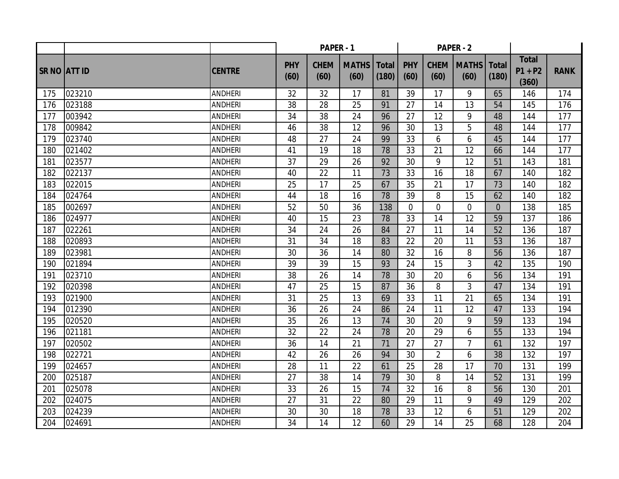|                     |        |                | PAPER - 1          |                     |                      |                       |                    |                     | <b>PAPER - 2</b>     |                       |                                    |             |
|---------------------|--------|----------------|--------------------|---------------------|----------------------|-----------------------|--------------------|---------------------|----------------------|-----------------------|------------------------------------|-------------|
| <b>SR NO ATT ID</b> |        | <b>CENTRE</b>  | <b>PHY</b><br>(60) | <b>CHEM</b><br>(60) | <b>MATHS</b><br>(60) | <b>Total</b><br>(180) | <b>PHY</b><br>(60) | <b>CHEM</b><br>(60) | <b>MATHS</b><br>(60) | <b>Total</b><br>(180) | <b>Total</b><br>$P1 + P2$<br>(360) | <b>RANK</b> |
| 175                 | 023210 | <b>ANDHERI</b> | 32                 | 32                  | 17                   | 81                    | 39                 | 17                  | 9                    | 65                    | 146                                | 174         |
| 176                 | 023188 | <b>ANDHERI</b> | 38                 | 28                  | 25                   | 91                    | 27                 | 14                  | 13                   | 54                    | 145                                | 176         |
| 177                 | 003942 | <b>ANDHERI</b> | 34                 | 38                  | 24                   | 96                    | 27                 | 12                  | 9                    | 48                    | 144                                | 177         |
| 178                 | 009842 | <b>ANDHERI</b> | 46                 | 38                  | 12                   | 96                    | 30                 | 13                  | 5                    | 48                    | 144                                | 177         |
| 179                 | 023740 | <b>ANDHERI</b> | 48                 | $\overline{27}$     | $\overline{24}$      | 99                    | 33                 | 6                   | 6                    | 45                    | 144                                | 177         |
| 180                 | 021402 | <b>ANDHERI</b> | 41                 | 19                  | 18                   | 78                    | 33                 | 21                  | 12                   | 66                    | 144                                | 177         |
| 181                 | 023577 | <b>ANDHERI</b> | 37                 | 29                  | 26                   | 92                    | 30                 | 9                   | 12                   | 51                    | 143                                | 181         |
| 182                 | 022137 | <b>ANDHERI</b> | 40                 | 22                  | 11                   | 73                    | 33                 | 16                  | 18                   | 67                    | 140                                | 182         |
| 183                 | 022015 | <b>ANDHERI</b> | 25                 | 17                  | 25                   | 67                    | 35                 | 21                  | 17                   | 73                    | 140                                | 182         |
| 184                 | 024764 | <b>ANDHERI</b> | 44                 | 18                  | 16                   | 78                    | 39                 | 8                   | 15                   | 62                    | 140                                | 182         |
| 185                 | 002697 | <b>ANDHERI</b> | 52                 | 50                  | 36                   | 138                   | $\overline{0}$     | 0                   | $\overline{0}$       | $\overline{0}$        | 138                                | 185         |
| 186                 | 024977 | <b>ANDHERI</b> | 40                 | 15                  | 23                   | 78                    | 33                 | 14                  | 12                   | 59                    | 137                                | 186         |
| 187                 | 022261 | <b>ANDHERI</b> | 34                 | 24                  | 26                   | 84                    | 27                 | 11                  | 14                   | 52                    | 136                                | 187         |
| 188                 | 020893 | <b>ANDHERI</b> | 31                 | 34                  | 18                   | 83                    | 22                 | 20                  | 11                   | 53                    | 136                                | 187         |
| 189                 | 023981 | <b>ANDHERI</b> | 30                 | 36                  | 14                   | 80                    | 32                 | 16                  | 8                    | 56                    | 136                                | 187         |
| 190                 | 021894 | <b>ANDHERI</b> | 39                 | 39                  | 15                   | 93                    | 24                 | 15                  | 3                    | 42                    | 135                                | 190         |
| 191                 | 023710 | <b>ANDHERI</b> | 38                 | 26                  | 14                   | 78                    | 30                 | 20                  | 6                    | 56                    | 134                                | 191         |
| 192                 | 020398 | <b>ANDHERI</b> | 47                 | 25                  | 15                   | 87                    | 36                 | 8                   | 3                    | 47                    | 134                                | 191         |
| 193                 | 021900 | <b>ANDHERI</b> | 31                 | 25                  | 13                   | 69                    | 33                 | 11                  | 21                   | 65                    | 134                                | 191         |
| 194                 | 012390 | <b>ANDHERI</b> | 36                 | 26                  | 24                   | 86                    | 24                 | 11                  | 12                   | 47                    | 133                                | 194         |
| 195                 | 020520 | <b>ANDHERI</b> | 35                 | 26                  | 13                   | 74                    | 30                 | 20                  | 9                    | 59                    | 133                                | 194         |
| 196                 | 021181 | <b>ANDHERI</b> | 32                 | 22                  | 24                   | 78                    | 20                 | 29                  | 6                    | 55                    | 133                                | 194         |
| 197                 | 020502 | <b>ANDHERI</b> | 36                 | 14                  | 21                   | 71                    | 27                 | 27                  | 7                    | 61                    | 132                                | 197         |
| 198                 | 022721 | <b>ANDHERI</b> | 42                 | 26                  | 26                   | 94                    | 30                 | $\overline{2}$      | 6                    | 38                    | 132                                | 197         |
| 199                 | 024657 | <b>ANDHERI</b> | 28                 | 11                  | 22                   | 61                    | 25                 | 28                  | 17                   | 70                    | 131                                | 199         |
| 200                 | 025187 | <b>ANDHERI</b> | 27                 | 38                  | 14                   | 79                    | 30                 | 8                   | 14                   | 52                    | 131                                | 199         |
| 201                 | 025078 | <b>ANDHERI</b> | 33                 | 26                  | 15                   | 74                    | $\overline{32}$    | 16                  | 8                    | 56                    | 130                                | 201         |
| 202                 | 024075 | <b>ANDHERI</b> | 27                 | 31                  | 22                   | 80                    | 29                 | 11                  | 9                    | 49                    | 129                                | 202         |
| 203                 | 024239 | <b>ANDHERI</b> | 30                 | 30                  | 18                   | 78                    | 33                 | 12                  | 6                    | 51                    | 129                                | 202         |
| 204                 | 024691 | <b>ANDHERI</b> | 34                 | 14                  | 12                   | 60                    | 29                 | 14                  | 25                   | 68                    | 128                                | 204         |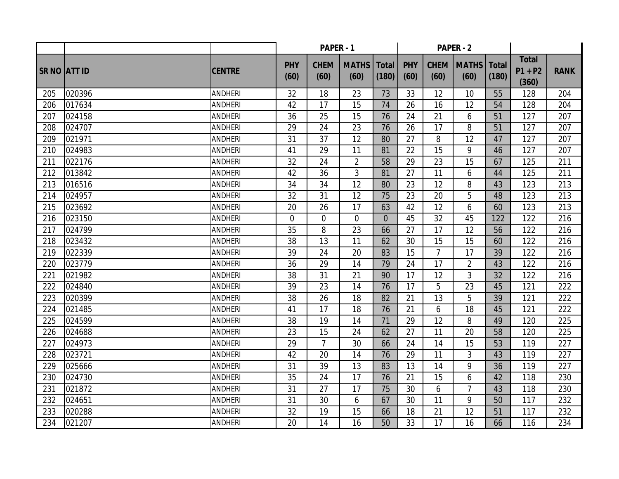|              |        |                | PAPER - 1          |                     |                      |                       |                    |                     | <b>PAPER - 2</b>     |                       |                                    |             |
|--------------|--------|----------------|--------------------|---------------------|----------------------|-----------------------|--------------------|---------------------|----------------------|-----------------------|------------------------------------|-------------|
| SR NO ATT ID |        | <b>CENTRE</b>  | <b>PHY</b><br>(60) | <b>CHEM</b><br>(60) | <b>MATHS</b><br>(60) | <b>Total</b><br>(180) | <b>PHY</b><br>(60) | <b>CHEM</b><br>(60) | <b>MATHS</b><br>(60) | <b>Total</b><br>(180) | <b>Total</b><br>$P1 + P2$<br>(360) | <b>RANK</b> |
| 205          | 020396 | <b>ANDHERI</b> | 32                 | 18                  | 23                   | 73                    | 33                 | 12                  | 10                   | 55                    | 128                                | 204         |
| 206          | 017634 | <b>ANDHERI</b> | 42                 | 17                  | 15                   | 74                    | 26                 | 16                  | 12                   | 54                    | 128                                | 204         |
| 207          | 024158 | <b>ANDHERI</b> | 36                 | 25                  | 15                   | 76                    | 24                 | 21                  | 6                    | 51                    | 127                                | 207         |
| 208          | 024707 | <b>ANDHERI</b> | 29                 | 24                  | 23                   | 76                    | 26                 | 17                  | 8                    | 51                    | 127                                | 207         |
| 209          | 021971 | <b>ANDHERI</b> | 31                 | $\overline{37}$     | $\overline{12}$      | 80                    | 27                 | 8                   | $\overline{12}$      | 47                    | 127                                | 207         |
| 210          | 024983 | <b>ANDHERI</b> | 41                 | 29                  | 11                   | 81                    | 22                 | 15                  | 9                    | 46                    | 127                                | 207         |
| 211          | 022176 | <b>ANDHERI</b> | 32                 | 24                  | $\overline{2}$       | 58                    | 29                 | 23                  | 15                   | 67                    | 125                                | 211         |
| 212          | 013842 | <b>ANDHERI</b> | 42                 | 36                  | 3                    | 81                    | 27                 | 11                  | 6                    | 44                    | 125                                | 211         |
| 213          | 016516 | <b>ANDHERI</b> | 34                 | 34                  | 12                   | 80                    | 23                 | 12                  | 8                    | 43                    | 123                                | 213         |
| 214          | 024957 | <b>ANDHERI</b> | 32                 | 31                  | 12                   | 75                    | 23                 | 20                  | 5                    | 48                    | 123                                | 213         |
| 215          | 023692 | <b>ANDHERI</b> | 20                 | 26                  | 17                   | 63                    | 42                 | 12                  | 6                    | 60                    | 123                                | 213         |
| 216          | 023150 | <b>ANDHERI</b> | $\overline{0}$     | $\overline{0}$      | 0                    | $\overline{0}$        | 45                 | 32                  | 45                   | 122                   | 122                                | 216         |
| 217          | 024799 | <b>ANDHERI</b> | 35                 | 8                   | 23                   | 66                    | 27                 | 17                  | 12                   | 56                    | 122                                | 216         |
| 218          | 023432 | <b>ANDHERI</b> | 38                 | 13                  | 11                   | 62                    | 30                 | 15                  | 15                   | 60                    | 122                                | 216         |
| 219          | 022339 | <b>ANDHERI</b> | 39                 | 24                  | 20                   | 83                    | 15                 | $\overline{7}$      | 17                   | 39                    | 122                                | 216         |
| 220          | 023779 | <b>ANDHERI</b> | 36                 | 29                  | 14                   | 79                    | 24                 | 17                  | $\overline{2}$       | 43                    | 122                                | 216         |
| 221          | 021982 | <b>ANDHERI</b> | 38                 | 31                  | 21                   | 90                    | 17                 | 12                  | 3                    | 32                    | 122                                | 216         |
| 222          | 024840 | <b>ANDHERI</b> | 39                 | 23                  | 14                   | 76                    | 17                 | 5                   | 23                   | 45                    | 121                                | 222         |
| 223          | 020399 | <b>ANDHERI</b> | 38                 | 26                  | 18                   | 82                    | 21                 | 13                  | 5                    | 39                    | 121                                | 222         |
| 224          | 021485 | <b>ANDHERI</b> | 41                 | 17                  | 18                   | 76                    | 21                 | 6                   | 18                   | 45                    | 121                                | 222         |
| 225          | 024599 | <b>ANDHERI</b> | 38                 | 19                  | 14                   | 71                    | 29                 | 12                  | 8                    | 49                    | 120                                | 225         |
| 226          | 024688 | <b>ANDHERI</b> | 23                 | 15                  | 24                   | 62                    | 27                 | 11                  | 20                   | 58                    | 120                                | 225         |
| 227          | 024973 | <b>ANDHERI</b> | 29                 | $\overline{7}$      | 30                   | 66                    | 24                 | 14                  | 15                   | 53                    | 119                                | 227         |
| 228          | 023721 | <b>ANDHERI</b> | 42                 | 20                  | 14                   | 76                    | 29                 | 11                  | 3                    | 43                    | 119                                | 227         |
| 229          | 025666 | <b>ANDHERI</b> | 31                 | 39                  | 13                   | 83                    | 13                 | 14                  | 9                    | 36                    | 119                                | 227         |
| 230          | 024730 | <b>ANDHERI</b> | 35                 | 24                  | 17                   | 76                    | 21                 | 15                  | 6                    | 42                    | 118                                | 230         |
| 231          | 021872 | <b>ANDHERI</b> | 31                 | 27                  | 17                   | 75                    | 30                 | 6                   | $\overline{7}$       | 43                    | 118                                | 230         |
| 232          | 024651 | <b>ANDHERI</b> | 31                 | 30                  | 6                    | 67                    | 30                 | 11                  | 9                    | 50                    | 117                                | 232         |
| 233          | 020288 | <b>ANDHERI</b> | 32                 | 19                  | 15                   | 66                    | 18                 | 21                  | 12                   | 51                    | 117                                | 232         |
| 234          | 021207 | <b>ANDHERI</b> | 20                 | 14                  | 16                   | 50                    | 33                 | 17                  | 16                   | 66                    | 116                                | 234         |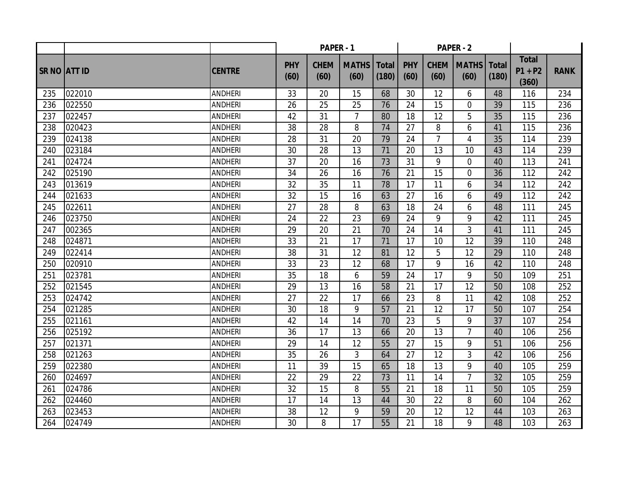|                     |        |                | PAPER - 1          |                     |                      |                       |                    |                     | <b>PAPER - 2</b>     |                       |                                    |             |
|---------------------|--------|----------------|--------------------|---------------------|----------------------|-----------------------|--------------------|---------------------|----------------------|-----------------------|------------------------------------|-------------|
| <b>SR NO ATT ID</b> |        | <b>CENTRE</b>  | <b>PHY</b><br>(60) | <b>CHEM</b><br>(60) | <b>MATHS</b><br>(60) | <b>Total</b><br>(180) | <b>PHY</b><br>(60) | <b>CHEM</b><br>(60) | <b>MATHS</b><br>(60) | <b>Total</b><br>(180) | <b>Total</b><br>$P1 + P2$<br>(360) | <b>RANK</b> |
| 235                 | 022010 | <b>ANDHERI</b> | 33                 | 20                  | 15                   | 68                    | 30                 | 12                  | 6                    | 48                    | 116                                | 234         |
| 236                 | 022550 | <b>ANDHERI</b> | 26                 | 25                  | 25                   | 76                    | 24                 | 15                  | $\overline{0}$       | 39                    | 115                                | 236         |
| 237                 | 022457 | <b>ANDHERI</b> | 42                 | 31                  | $\overline{7}$       | 80                    | 18                 | 12                  | 5                    | 35                    | 115                                | 236         |
| 238                 | 020423 | <b>ANDHERI</b> | 38                 | 28                  | 8                    | 74                    | 27                 | 8                   | 6                    | 41                    | 115                                | 236         |
| 239                 | 024138 | <b>ANDHERI</b> | 28                 | $\overline{31}$     | 20                   | 79                    | 24                 | $\overline{7}$      | $\overline{4}$       | 35                    | 114                                | 239         |
| 240                 | 023184 | <b>ANDHERI</b> | 30                 | 28                  | 13                   | 71                    | 20                 | 13                  | 10                   | 43                    | 114                                | 239         |
| 241                 | 024724 | <b>ANDHERI</b> | 37                 | 20                  | 16                   | 73                    | 31                 | 9                   | $\overline{0}$       | 40                    | 113                                | 241         |
| 242                 | 025190 | <b>ANDHERI</b> | 34                 | 26                  | 16                   | 76                    | 21                 | 15                  | $\overline{0}$       | 36                    | 112                                | 242         |
| 243                 | 013619 | <b>ANDHERI</b> | 32                 | 35                  | 11                   | 78                    | 17                 | 11                  | 6                    | 34                    | 112                                | 242         |
| 244                 | 021633 | <b>ANDHERI</b> | 32                 | 15                  | 16                   | 63                    | 27                 | 16                  | 6                    | 49                    | 112                                | 242         |
| 245                 | 022611 | <b>ANDHERI</b> | 27                 | 28                  | 8                    | 63                    | 18                 | 24                  | 6                    | 48                    | 111                                | 245         |
| 246                 | 023750 | <b>ANDHERI</b> | 24                 | 22                  | 23                   | 69                    | 24                 | 9                   | 9                    | 42                    | 111                                | 245         |
| 247                 | 002365 | <b>ANDHERI</b> | 29                 | 20                  | 21                   | 70                    | 24                 | 14                  | 3                    | 41                    | 111                                | 245         |
| 248                 | 024871 | <b>ANDHERI</b> | 33                 | 21                  | 17                   | 71                    | 17                 | 10                  | 12                   | 39                    | 110                                | 248         |
| 249                 | 022414 | <b>ANDHERI</b> | 38                 | 31                  | 12                   | 81                    | 12                 | 5                   | 12                   | 29                    | 110                                | 248         |
| 250                 | 020910 | <b>ANDHERI</b> | 33                 | 23                  | 12                   | 68                    | 17                 | 9                   | 16                   | 42                    | 110                                | 248         |
| 251                 | 023781 | <b>ANDHERI</b> | 35                 | 18                  | 6                    | 59                    | 24                 | 17                  | 9                    | 50                    | 109                                | 251         |
| 252                 | 021545 | <b>ANDHERI</b> | 29                 | 13                  | 16                   | 58                    | 21                 | 17                  | 12                   | 50                    | 108                                | 252         |
| 253                 | 024742 | <b>ANDHERI</b> | 27                 | 22                  | 17                   | 66                    | 23                 | 8                   | 11                   | 42                    | 108                                | 252         |
| 254                 | 021285 | <b>ANDHERI</b> | 30                 | 18                  | 9                    | 57                    | 21                 | 12                  | 17                   | 50                    | 107                                | 254         |
| 255                 | 021161 | <b>ANDHERI</b> | 42                 | 14                  | 14                   | 70                    | 23                 | 5                   | 9                    | 37                    | 107                                | 254         |
| 256                 | 025192 | <b>ANDHERI</b> | 36                 | 17                  | 13                   | 66                    | 20                 | 13                  | $\overline{7}$       | 40                    | 106                                | 256         |
| 257                 | 021371 | <b>ANDHERI</b> | 29                 | 14                  | 12                   | 55                    | 27                 | 15                  | 9                    | 51                    | 106                                | 256         |
| 258                 | 021263 | <b>ANDHERI</b> | 35                 | 26                  | 3                    | 64                    | 27                 | 12                  | 3                    | 42                    | 106                                | 256         |
| 259                 | 022380 | <b>ANDHERI</b> | 11                 | 39                  | 15                   | 65                    | 18                 | 13                  | 9                    | 40                    | 105                                | 259         |
| 260                 | 024697 | <b>ANDHERI</b> | 22                 | 29                  | 22                   | 73                    | 11                 | 14                  | $\overline{7}$       | 32                    | 105                                | 259         |
| 261                 | 024786 | <b>ANDHERI</b> | 32                 | 15                  | 8                    | 55                    | 21                 | 18                  | 11                   | 50                    | 105                                | 259         |
| 262                 | 024460 | <b>ANDHERI</b> | 17                 | 14                  | 13                   | 44                    | 30                 | 22                  | 8                    | 60                    | 104                                | 262         |
| 263                 | 023453 | <b>ANDHERI</b> | 38                 | 12                  | 9                    | 59                    | 20                 | 12                  | 12                   | 44                    | 103                                | 263         |
| 264                 | 024749 | <b>ANDHERI</b> | 30                 | 8                   | 17                   | 55                    | 21                 | 18                  | 9                    | 48                    | 103                                | 263         |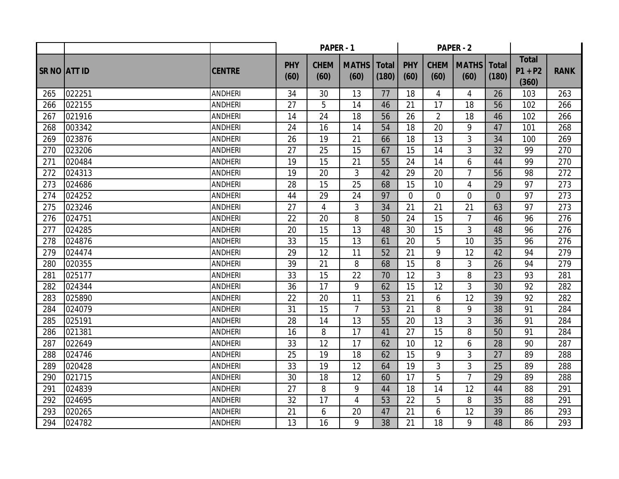|              |        |                | PAPER - 1          |                     |                      |                       |                    |                     | <b>PAPER - 2</b>     |                       |                                    |             |
|--------------|--------|----------------|--------------------|---------------------|----------------------|-----------------------|--------------------|---------------------|----------------------|-----------------------|------------------------------------|-------------|
| SR NO ATT ID |        | <b>CENTRE</b>  | <b>PHY</b><br>(60) | <b>CHEM</b><br>(60) | <b>MATHS</b><br>(60) | <b>Total</b><br>(180) | <b>PHY</b><br>(60) | <b>CHEM</b><br>(60) | <b>MATHS</b><br>(60) | <b>Total</b><br>(180) | <b>Total</b><br>$P1 + P2$<br>(360) | <b>RANK</b> |
| 265          | 022251 | <b>ANDHERI</b> | 34                 | 30                  | 13                   | 77                    | 18                 | 4                   | 4                    | 26                    | 103                                | 263         |
| 266          | 022155 | <b>ANDHERI</b> | 27                 | 5                   | 14                   | 46                    | 21                 | 17                  | 18                   | 56                    | 102                                | 266         |
| 267          | 021916 | <b>ANDHERI</b> | 14                 | 24                  | 18                   | 56                    | 26                 | $\overline{2}$      | 18                   | 46                    | 102                                | 266         |
| 268          | 003342 | <b>ANDHERI</b> | 24                 | 16                  | 14                   | 54                    | 18                 | 20                  | 9                    | 47                    | 101                                | 268         |
| 269          | 023876 | <b>ANDHERI</b> | 26                 | 19                  | $\overline{21}$      | 66                    | 18                 | 13                  | 3                    | 34                    | 100                                | 269         |
| 270          | 023206 | <b>ANDHERI</b> | 27                 | 25                  | 15                   | 67                    | 15                 | 14                  | 3                    | 32                    | 99                                 | 270         |
| 271          | 020484 | <b>ANDHERI</b> | 19                 | 15                  | 21                   | 55                    | 24                 | 14                  | 6                    | 44                    | 99                                 | 270         |
| 272          | 024313 | <b>ANDHERI</b> | 19                 | 20                  | 3                    | 42                    | 29                 | 20                  | $\overline{7}$       | 56                    | 98                                 | 272         |
| 273          | 024686 | <b>ANDHERI</b> | 28                 | 15                  | 25                   | 68                    | 15                 | 10                  | 4                    | 29                    | 97                                 | 273         |
| 274          | 024252 | <b>ANDHERI</b> | 44                 | 29                  | 24                   | 97                    | $\Omega$           | $\Omega$            | $\Omega$             | $\Omega$              | 97                                 | 273         |
| 275          | 023246 | <b>ANDHERI</b> | 27                 | 4                   | 3                    | 34                    | 21                 | 21                  | 21                   | 63                    | 97                                 | 273         |
| 276          | 024751 | <b>ANDHERI</b> | 22                 | 20                  | 8                    | 50                    | 24                 | 15                  | $\overline{7}$       | 46                    | 96                                 | 276         |
| 277          | 024285 | <b>ANDHERI</b> | 20                 | 15                  | 13                   | 48                    | 30                 | 15                  | 3                    | 48                    | 96                                 | 276         |
| 278          | 024876 | <b>ANDHERI</b> | 33                 | 15                  | 13                   | 61                    | 20                 | 5                   | 10                   | 35                    | 96                                 | 276         |
| 279          | 024474 | <b>ANDHERI</b> | 29                 | 12                  | 11                   | 52                    | 21                 | 9                   | 12                   | 42                    | 94                                 | 279         |
| 280          | 020355 | <b>ANDHERI</b> | 39                 | 21                  | 8                    | 68                    | 15                 | 8                   | 3                    | 26                    | 94                                 | 279         |
| 281          | 025177 | <b>ANDHERI</b> | 33                 | 15                  | 22                   | 70                    | 12                 | 3                   | 8                    | 23                    | 93                                 | 281         |
| 282          | 024344 | <b>ANDHERI</b> | 36                 | 17                  | 9                    | 62                    | 15                 | 12                  | 3                    | 30                    | 92                                 | 282         |
| 283          | 025890 | <b>ANDHERI</b> | 22                 | 20                  | 11                   | 53                    | 21                 | 6                   | 12                   | 39                    | 92                                 | 282         |
| 284          | 024079 | <b>ANDHERI</b> | 31                 | 15                  | $\overline{7}$       | 53                    | 21                 | 8                   | 9                    | 38                    | 91                                 | 284         |
| 285          | 025191 | <b>ANDHERI</b> | 28                 | 14                  | 13                   | 55                    | 20                 | 13                  | 3                    | 36                    | 91                                 | 284         |
| 286          | 021381 | <b>ANDHERI</b> | 16                 | 8                   | 17                   | 41                    | 27                 | 15                  | 8                    | 50                    | 91                                 | 284         |
| 287          | 022649 | <b>ANDHERI</b> | 33                 | 12                  | 17                   | 62                    | 10                 | 12                  | 6                    | 28                    | 90                                 | 287         |
| 288          | 024746 | <b>ANDHERI</b> | 25                 | 19                  | 18                   | 62                    | 15                 | 9                   | 3                    | 27                    | 89                                 | 288         |
| 289          | 020428 | <b>ANDHERI</b> | 33                 | 19                  | 12                   | 64                    | 19                 | 3                   | 3                    | 25                    | 89                                 | 288         |
| 290          | 021715 | <b>ANDHERI</b> | 30                 | 18                  | 12                   | 60                    | 17                 | 5                   | $\overline{7}$       | 29                    | 89                                 | 288         |
| 291          | 024839 | <b>ANDHERI</b> | 27                 | 8                   | 9                    | 44                    | 18                 | 14                  | 12                   | 44                    | 88                                 | 291         |
| 292          | 024695 | <b>ANDHERI</b> | 32                 | 17                  | $\overline{4}$       | 53                    | 22                 | 5                   | 8                    | 35                    | 88                                 | 291         |
| 293          | 020265 | <b>ANDHERI</b> | 21                 | 6                   | 20                   | 47                    | 21                 | 6                   | 12                   | 39                    | 86                                 | 293         |
| 294          | 024782 | <b>ANDHERI</b> | 13                 | 16                  | 9                    | 38                    | 21                 | 18                  | 9                    | 48                    | 86                                 | 293         |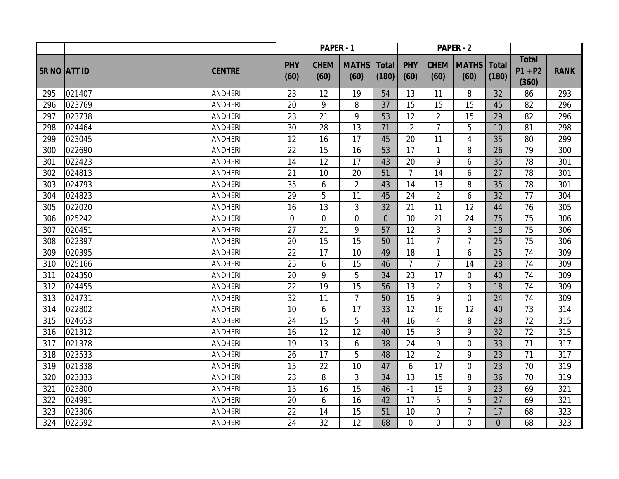|                     |        |                | PAPER - 1          |                     |                      |                       |                    |                     | <b>PAPER - 2</b>     |                       |                                    |             |
|---------------------|--------|----------------|--------------------|---------------------|----------------------|-----------------------|--------------------|---------------------|----------------------|-----------------------|------------------------------------|-------------|
| <b>SR NO ATT ID</b> |        | <b>CENTRE</b>  | <b>PHY</b><br>(60) | <b>CHEM</b><br>(60) | <b>MATHS</b><br>(60) | <b>Total</b><br>(180) | <b>PHY</b><br>(60) | <b>CHEM</b><br>(60) | <b>MATHS</b><br>(60) | <b>Total</b><br>(180) | <b>Total</b><br>$P1 + P2$<br>(360) | <b>RANK</b> |
| 295                 | 021407 | <b>ANDHERI</b> | 23                 | 12                  | 19                   | 54                    | 13                 | 11                  | 8                    | 32                    | 86                                 | 293         |
| 296                 | 023769 | <b>ANDHERI</b> | 20                 | 9                   | 8                    | 37                    | 15                 | 15                  | 15                   | 45                    | 82                                 | 296         |
| 297                 | 023738 | <b>ANDHERI</b> | 23                 | 21                  | 9                    | 53                    | 12                 | $\overline{2}$      | 15                   | 29                    | 82                                 | 296         |
| 298                 | 024464 | <b>ANDHERI</b> | 30                 | 28                  | 13                   | 71                    | $-2$               | $\overline{7}$      | 5                    | 10                    | 81                                 | 298         |
| 299                 | 023045 | <b>ANDHERI</b> | 12                 | 16                  | 17                   | 45                    | 20                 | 11                  | 4                    | 35                    | 80                                 | 299         |
| 300                 | 022690 | <b>ANDHERI</b> | 22                 | 15                  | 16                   | 53                    | 17                 | $\mathbf{1}$        | 8                    | 26                    | 79                                 | 300         |
| 301                 | 022423 | <b>ANDHERI</b> | 14                 | 12                  | 17                   | 43                    | 20                 | 9                   | 6                    | 35                    | 78                                 | 301         |
| 302                 | 024813 | <b>ANDHERI</b> | 21                 | 10                  | 20                   | 51                    | $\overline{7}$     | 14                  | 6                    | 27                    | 78                                 | 301         |
| 303                 | 024793 | <b>ANDHERI</b> | 35                 | 6                   | $\overline{2}$       | 43                    | 14                 | 13                  | 8                    | 35                    | 78                                 | 301         |
| 304                 | 024823 | <b>ANDHERI</b> | 29                 | 5                   | 11                   | 45                    | 24                 | $\overline{2}$      | 6                    | 32                    | 77                                 | 304         |
| 305                 | 022020 | <b>ANDHERI</b> | 16                 | 13                  | 3                    | 32                    | 21                 | 11                  | 12                   | 44                    | 76                                 | 305         |
| 306                 | 025242 | <b>ANDHERI</b> | $\overline{0}$     | $\overline{0}$      | $\overline{0}$       | $\overline{0}$        | 30                 | 21                  | 24                   | 75                    | 75                                 | 306         |
| 307                 | 020451 | <b>ANDHERI</b> | 27                 | 21                  | 9                    | 57                    | 12                 | 3                   | 3                    | 18                    | 75                                 | 306         |
| 308                 | 022397 | <b>ANDHERI</b> | 20                 | 15                  | 15                   | 50                    | 11                 | $\overline{7}$      | $\overline{7}$       | 25                    | 75                                 | 306         |
| 309                 | 020395 | <b>ANDHERI</b> | 22                 | 17                  | 10                   | 49                    | 18                 | $\mathbf{1}$        | 6                    | 25                    | 74                                 | 309         |
| 310                 | 025166 | <b>ANDHERI</b> | 25                 | 6                   | 15                   | 46                    | $\overline{7}$     | $\overline{7}$      | 14                   | 28                    | 74                                 | 309         |
| 311                 | 024350 | <b>ANDHERI</b> | 20                 | 9                   | 5                    | 34                    | 23                 | 17                  | $\overline{0}$       | 40                    | 74                                 | 309         |
| 312                 | 024455 | <b>ANDHERI</b> | 22                 | 19                  | 15                   | 56                    | 13                 | $\overline{2}$      | 3                    | 18                    | 74                                 | 309         |
| 313                 | 024731 | <b>ANDHERI</b> | 32                 | 11                  | $\overline{7}$       | 50                    | 15                 | 9                   | $\overline{0}$       | 24                    | 74                                 | 309         |
| 314                 | 022802 | <b>ANDHERI</b> | 10                 | 6                   | 17                   | 33                    | 12                 | 16                  | 12                   | 40                    | 73                                 | 314         |
| 315                 | 024653 | <b>ANDHERI</b> | 24                 | 15                  | 5                    | 44                    | 16                 | 4                   | 8                    | 28                    | 72                                 | 315         |
| 316                 | 021312 | <b>ANDHERI</b> | 16                 | 12                  | 12                   | 40                    | 15                 | 8                   | 9                    | 32                    | 72                                 | 315         |
| 317                 | 021378 | <b>ANDHERI</b> | 19                 | 13                  | 6                    | 38                    | 24                 | 9                   | $\overline{0}$       | 33                    | 71                                 | 317         |
| 318                 | 023533 | <b>ANDHERI</b> | 26                 | 17                  | 5                    | 48                    | 12                 | $\overline{2}$      | 9                    | 23                    | 71                                 | 317         |
| 319                 | 021338 | <b>ANDHERI</b> | 15                 | 22                  | 10                   | 47                    | 6                  | 17                  | $\overline{0}$       | 23                    | 70                                 | 319         |
| 320                 | 023333 | <b>ANDHERI</b> | 23                 | 8                   | $\mathfrak{Z}$       | 34                    | 13                 | 15                  | 8                    | 36                    | 70                                 | 319         |
| 321                 | 023800 | <b>ANDHERI</b> | 15                 | 16                  | 15                   | 46                    | $-1$               | 15                  | 9                    | 23                    | 69                                 | 321         |
| 322                 | 024991 | <b>ANDHERI</b> | 20                 | 6                   | 16                   | 42                    | 17                 | 5                   | 5                    | 27                    | 69                                 | 321         |
| 323                 | 023306 | <b>ANDHERI</b> | 22                 | 14                  | 15                   | 51                    | 10                 | 0                   | $\overline{7}$       | 17                    | 68                                 | 323         |
| 324                 | 022592 | <b>ANDHERI</b> | 24                 | 32                  | 12                   | 68                    | $\Omega$           | $\overline{0}$      | $\overline{0}$       | $\Omega$              | 68                                 | 323         |